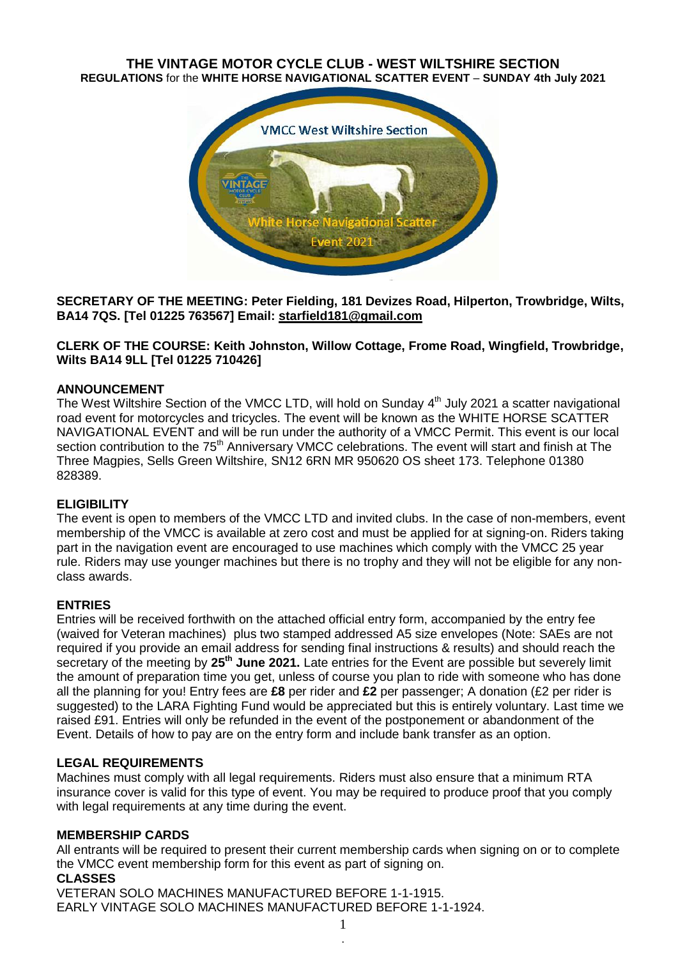## **THE VINTAGE MOTOR CYCLE CLUB - WEST WILTSHIRE SECTION REGULATIONS** for the **WHITE HORSE NAVIGATIONAL SCATTER EVENT** – **SUNDAY 4th July 2021**



**SECRETARY OF THE MEETING: Peter Fielding, 181 Devizes Road, Hilperton, Trowbridge, Wilts, BA14 7QS. [Tel 01225 763567] Email: [starfield181@gmail.com](mailto:starfield181@gmail.com)**

## **CLERK OF THE COURSE: Keith Johnston, Willow Cottage, Frome Road, Wingfield, Trowbridge, Wilts BA14 9LL [Tel 01225 710426]**

## **ANNOUNCEMENT**

The West Wiltshire Section of the VMCC LTD, will hold on Sunday 4<sup>th</sup> July 2021 a scatter navigational road event for motorcycles and tricycles. The event will be known as the WHITE HORSE SCATTER NAVIGATIONAL EVENT and will be run under the authority of a VMCC Permit. This event is our local section contribution to the 75<sup>th</sup> Anniversary VMCC celebrations. The event will start and finish at The Three Magpies, Sells Green Wiltshire, SN12 6RN MR 950620 OS sheet 173. Telephone 01380 828389.

## **ELIGIBILITY**

The event is open to members of the VMCC LTD and invited clubs. In the case of non-members, event membership of the VMCC is available at zero cost and must be applied for at signing-on. Riders taking part in the navigation event are encouraged to use machines which comply with the VMCC 25 year rule. Riders may use younger machines but there is no trophy and they will not be eligible for any nonclass awards.

## **ENTRIES**

Entries will be received forthwith on the attached official entry form, accompanied by the entry fee (waived for Veteran machines) plus two stamped addressed A5 size envelopes (Note: SAEs are not required if you provide an email address for sending final instructions & results) and should reach the secretary of the meeting by **25th June 2021.** Late entries for the Event are possible but severely limit the amount of preparation time you get, unless of course you plan to ride with someone who has done all the planning for you! Entry fees are **£8** per rider and **£2** per passenger; A donation (£2 per rider is suggested) to the LARA Fighting Fund would be appreciated but this is entirely voluntary. Last time we raised £91. Entries will only be refunded in the event of the postponement or abandonment of the Event. Details of how to pay are on the entry form and include bank transfer as an option.

## **LEGAL REQUIREMENTS**

Machines must comply with all legal requirements. Riders must also ensure that a minimum RTA insurance cover is valid for this type of event. You may be required to produce proof that you comply with legal requirements at any time during the event.

## **MEMBERSHIP CARDS**

All entrants will be required to present their current membership cards when signing on or to complete the VMCC event membership form for this event as part of signing on.

## **CLASSES**

VETERAN SOLO MACHINES MANUFACTURED BEFORE 1-1-1915. EARLY VINTAGE SOLO MACHINES MANUFACTURED BEFORE 1-1-1924.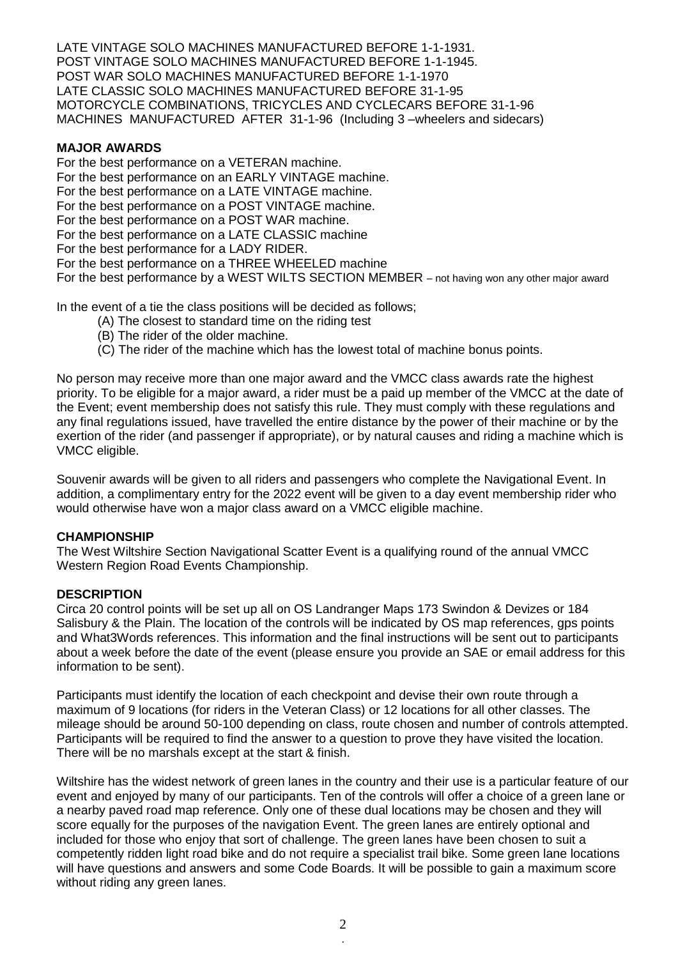LATE VINTAGE SOLO MACHINES MANUFACTURED BEFORE 1-1-1931. POST VINTAGE SOLO MACHINES MANUFACTURED BEFORE 1-1-1945. POST WAR SOLO MACHINES MANUFACTURED BEFORE 1-1-1970 LATE CLASSIC SOLO MACHINES MANUFACTURED BEFORE 31-1-95 MOTORCYCLE COMBINATIONS, TRICYCLES AND CYCLECARS BEFORE 31-1-96 MACHINES MANUFACTURED AFTER 31-1-96 (Including 3 –wheelers and sidecars)

## **MAJOR AWARDS**

For the best performance on a VETERAN machine. For the best performance on an EARLY VINTAGE machine. For the best performance on a LATE VINTAGE machine. For the best performance on a POST VINTAGE machine. For the best performance on a POST WAR machine. For the best performance on a LATE CLASSIC machine For the best performance for a LADY RIDER. For the best performance on a THREE WHEELED machine For the best performance by a WEST WILTS SECTION MEMBER – not having won any other major award

In the event of a tie the class positions will be decided as follows;

- (A) The closest to standard time on the riding test
- (B) The rider of the older machine.
- (C) The rider of the machine which has the lowest total of machine bonus points.

No person may receive more than one major award and the VMCC class awards rate the highest priority. To be eligible for a major award, a rider must be a paid up member of the VMCC at the date of the Event; event membership does not satisfy this rule. They must comply with these regulations and any final regulations issued, have travelled the entire distance by the power of their machine or by the exertion of the rider (and passenger if appropriate), or by natural causes and riding a machine which is VMCC eligible.

Souvenir awards will be given to all riders and passengers who complete the Navigational Event. In addition, a complimentary entry for the 2022 event will be given to a day event membership rider who would otherwise have won a major class award on a VMCC eligible machine.

## **CHAMPIONSHIP**

The West Wiltshire Section Navigational Scatter Event is a qualifying round of the annual VMCC Western Region Road Events Championship.

## **DESCRIPTION**

Circa 20 control points will be set up all on OS Landranger Maps 173 Swindon & Devizes or 184 Salisbury & the Plain. The location of the controls will be indicated by OS map references, gps points and What3Words references. This information and the final instructions will be sent out to participants about a week before the date of the event (please ensure you provide an SAE or email address for this information to be sent).

Participants must identify the location of each checkpoint and devise their own route through a maximum of 9 locations (for riders in the Veteran Class) or 12 locations for all other classes. The mileage should be around 50-100 depending on class, route chosen and number of controls attempted. Participants will be required to find the answer to a question to prove they have visited the location. There will be no marshals except at the start & finish.

Wiltshire has the widest network of green lanes in the country and their use is a particular feature of our event and enjoyed by many of our participants. Ten of the controls will offer a choice of a green lane or a nearby paved road map reference. Only one of these dual locations may be chosen and they will score equally for the purposes of the navigation Event. The green lanes are entirely optional and included for those who enjoy that sort of challenge. The green lanes have been chosen to suit a competently ridden light road bike and do not require a specialist trail bike. Some green lane locations will have questions and answers and some Code Boards. It will be possible to gain a maximum score without riding any green lanes.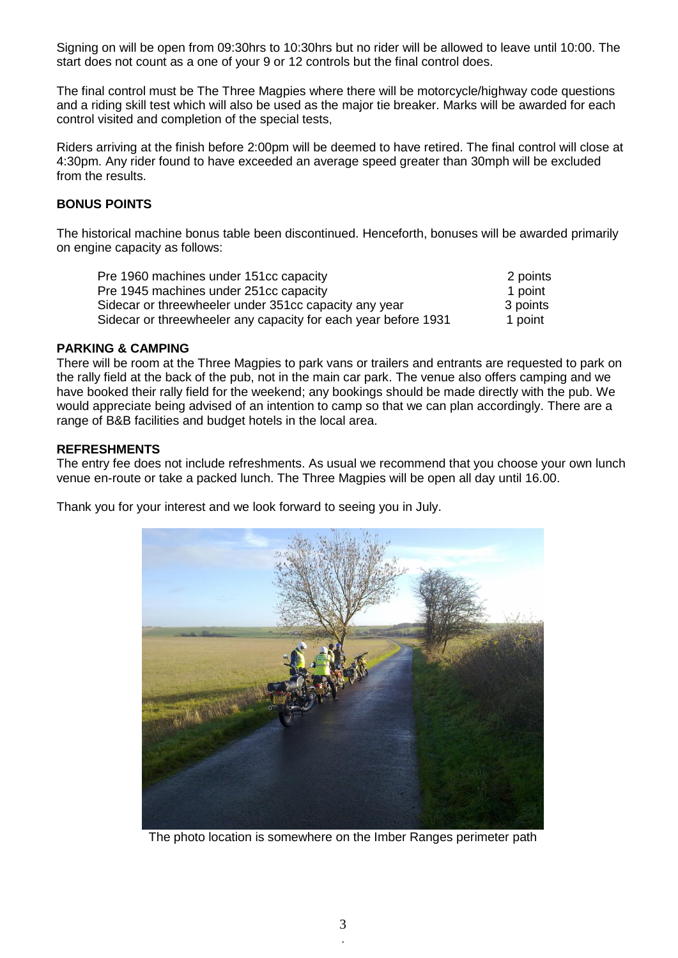Signing on will be open from 09:30hrs to 10:30hrs but no rider will be allowed to leave until 10:00. The start does not count as a one of your 9 or 12 controls but the final control does.

The final control must be The Three Magpies where there will be motorcycle/highway code questions and a riding skill test which will also be used as the major tie breaker. Marks will be awarded for each control visited and completion of the special tests,

Riders arriving at the finish before 2:00pm will be deemed to have retired. The final control will close at 4:30pm. Any rider found to have exceeded an average speed greater than 30mph will be excluded from the results.

## **BONUS POINTS**

The historical machine bonus table been discontinued. Henceforth, bonuses will be awarded primarily on engine capacity as follows:

| Pre 1960 machines under 151cc capacity                         | 2 points |
|----------------------------------------------------------------|----------|
| Pre 1945 machines under 251cc capacity                         | 1 point  |
| Sidecar or threewheeler under 351cc capacity any year          | 3 points |
| Sidecar or threewheeler any capacity for each year before 1931 | 1 point  |

## **PARKING & CAMPING**

There will be room at the Three Magpies to park vans or trailers and entrants are requested to park on the rally field at the back of the pub, not in the main car park. The venue also offers camping and we have booked their rally field for the weekend; any bookings should be made directly with the pub. We would appreciate being advised of an intention to camp so that we can plan accordingly. There are a range of B&B facilities and budget hotels in the local area.

## **REFRESHMENTS**

The entry fee does not include refreshments. As usual we recommend that you choose your own lunch venue en-route or take a packed lunch. The Three Magpies will be open all day until 16.00.

Thank you for your interest and we look forward to seeing you in July.



The photo location is somewhere on the Imber Ranges perimeter path